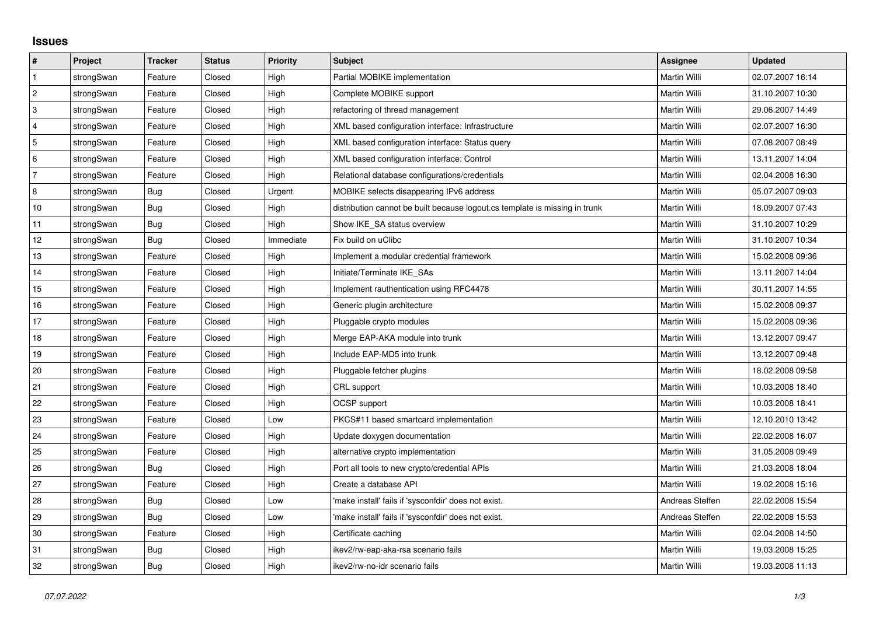## **Issues**

| #              | Project    | <b>Tracker</b> | <b>Status</b> | <b>Priority</b> | <b>Subject</b>                                                              | <b>Assignee</b> | <b>Updated</b>   |
|----------------|------------|----------------|---------------|-----------------|-----------------------------------------------------------------------------|-----------------|------------------|
| $\mathbf{1}$   | strongSwan | Feature        | Closed        | High            | <b>Partial MOBIKE implementation</b>                                        | Martin Willi    | 02.07.2007 16:14 |
| $\overline{c}$ | strongSwan | Feature        | Closed        | High            | Complete MOBIKE support                                                     | Martin Willi    | 31.10.2007 10:30 |
| 3              | strongSwan | Feature        | Closed        | High            | refactoring of thread management                                            | Martin Willi    | 29.06.2007 14:49 |
| $\overline{4}$ | strongSwan | Feature        | Closed        | High            | XML based configuration interface: Infrastructure                           | Martin Willi    | 02.07.2007 16:30 |
| 5              | strongSwan | Feature        | Closed        | High            | XML based configuration interface: Status query                             | Martin Willi    | 07.08.2007 08:49 |
| 6              | strongSwan | Feature        | Closed        | High            | XML based configuration interface: Control                                  | Martin Willi    | 13.11.2007 14:04 |
| 7              | strongSwan | Feature        | Closed        | High            | Relational database configurations/credentials                              | Martin Willi    | 02.04.2008 16:30 |
| 8              | strongSwan | <b>Bug</b>     | Closed        | Urgent          | MOBIKE selects disappearing IPv6 address                                    | Martin Willi    | 05.07.2007 09:03 |
| $10$           | strongSwan | Bug            | Closed        | High            | distribution cannot be built because logout.cs template is missing in trunk | Martin Willi    | 18.09.2007 07:43 |
| 11             | strongSwan | Bug            | Closed        | High            | Show IKE SA status overview                                                 | Martin Willi    | 31.10.2007 10:29 |
| 12             | strongSwan | Bug            | Closed        | Immediate       | Fix build on uClibc                                                         | Martin Willi    | 31.10.2007 10:34 |
| 13             | strongSwan | Feature        | Closed        | High            | Implement a modular credential framework                                    | Martin Willi    | 15.02.2008 09:36 |
| 14             | strongSwan | Feature        | Closed        | High            | Initiate/Terminate IKE_SAs                                                  | Martin Willi    | 13.11.2007 14:04 |
| 15             | strongSwan | Feature        | Closed        | High            | Implement rauthentication using RFC4478                                     | Martin Willi    | 30.11.2007 14:55 |
| 16             | strongSwan | Feature        | Closed        | High            | Generic plugin architecture                                                 | Martin Willi    | 15.02.2008 09:37 |
| 17             | strongSwan | Feature        | Closed        | High            | Pluggable crypto modules                                                    | Martin Willi    | 15.02.2008 09:36 |
| 18             | strongSwan | Feature        | Closed        | High            | Merge EAP-AKA module into trunk                                             | Martin Willi    | 13.12.2007 09:47 |
| 19             | strongSwan | Feature        | Closed        | High            | Include EAP-MD5 into trunk                                                  | Martin Willi    | 13.12.2007 09:48 |
| 20             | strongSwan | Feature        | Closed        | High            | Pluggable fetcher plugins                                                   | Martin Willi    | 18.02.2008 09:58 |
| 21             | strongSwan | Feature        | Closed        | High            | CRL support                                                                 | Martin Willi    | 10.03.2008 18:40 |
| 22             | strongSwan | Feature        | Closed        | High            | OCSP support                                                                | Martin Willi    | 10.03.2008 18:41 |
| 23             | strongSwan | Feature        | Closed        | Low             | PKCS#11 based smartcard implementation                                      | Martin Willi    | 12.10.2010 13:42 |
| 24             | strongSwan | Feature        | Closed        | High            | Update doxygen documentation                                                | Martin Willi    | 22.02.2008 16:07 |
| 25             | strongSwan | Feature        | Closed        | High            | alternative crypto implementation                                           | Martin Willi    | 31.05.2008 09:49 |
| 26             | strongSwan | Bug            | Closed        | High            | Port all tools to new crypto/credential APIs                                | Martin Willi    | 21.03.2008 18:04 |
| 27             | strongSwan | Feature        | Closed        | High            | Create a database API                                                       | Martin Willi    | 19.02.2008 15:16 |
| 28             | strongSwan | Bug            | Closed        | Low             | 'make install' fails if 'sysconfdir' does not exist.                        | Andreas Steffen | 22.02.2008 15:54 |
| 29             | strongSwan | Bug            | Closed        | Low             | 'make install' fails if 'sysconfdir' does not exist.                        | Andreas Steffen | 22.02.2008 15:53 |
| 30             | strongSwan | Feature        | Closed        | High            | Certificate caching                                                         | Martin Willi    | 02.04.2008 14:50 |
| 31             | strongSwan | Bug            | Closed        | High            | ikev2/rw-eap-aka-rsa scenario fails                                         | Martin Willi    | 19.03.2008 15:25 |
| 32             | strongSwan | Bug            | Closed        | High            | ikev2/rw-no-idr scenario fails                                              | Martin Willi    | 19.03.2008 11:13 |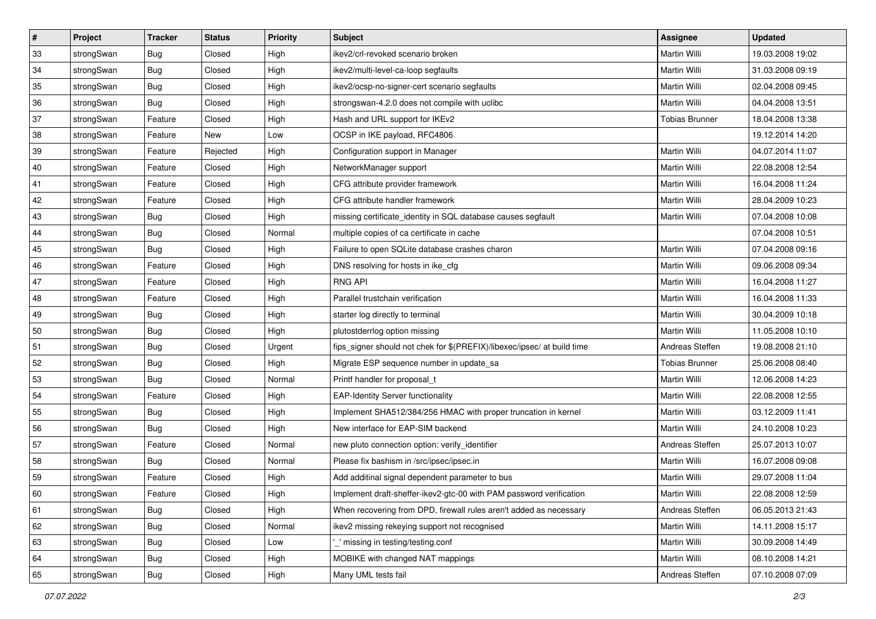| $\vert$ # | Project    | <b>Tracker</b> | <b>Status</b> | <b>Priority</b> | <b>Subject</b>                                                          | <b>Assignee</b>       | <b>Updated</b>   |
|-----------|------------|----------------|---------------|-----------------|-------------------------------------------------------------------------|-----------------------|------------------|
| 33        | strongSwan | <b>Bug</b>     | Closed        | High            | ikev2/crl-revoked scenario broken                                       | Martin Willi          | 19.03.2008 19:02 |
| 34        | strongSwan | Bug            | Closed        | High            | ikev2/multi-level-ca-loop segfaults                                     | <b>Martin Willi</b>   | 31.03.2008 09:19 |
| 35        | strongSwan | <b>Bug</b>     | Closed        | High            | ikev2/ocsp-no-signer-cert scenario segfaults                            | Martin Willi          | 02.04.2008 09:45 |
| 36        | strongSwan | <b>Bug</b>     | Closed        | High            | strongswan-4.2.0 does not compile with uclibc                           | Martin Willi          | 04.04.2008 13:51 |
| 37        | strongSwan | Feature        | Closed        | High            | Hash and URL support for IKEv2                                          | <b>Tobias Brunner</b> | 18.04.2008 13:38 |
| 38        | strongSwan | Feature        | New           | Low             | OCSP in IKE payload, RFC4806                                            |                       | 19.12.2014 14:20 |
| 39        | strongSwan | Feature        | Rejected      | High            | Configuration support in Manager                                        | Martin Willi          | 04.07.2014 11:07 |
| 40        | strongSwan | Feature        | Closed        | High            | NetworkManager support                                                  | Martin Willi          | 22.08.2008 12:54 |
| 41        | strongSwan | Feature        | Closed        | High            | CFG attribute provider framework                                        | Martin Willi          | 16.04.2008 11:24 |
| 42        | strongSwan | Feature        | Closed        | High            | CFG attribute handler framework                                         | Martin Willi          | 28.04.2009 10:23 |
| 43        | strongSwan | <b>Bug</b>     | Closed        | High            | missing certificate_identity in SQL database causes segfault            | Martin Willi          | 07.04.2008 10:08 |
| 44        | strongSwan | <b>Bug</b>     | Closed        | Normal          | multiple copies of ca certificate in cache                              |                       | 07.04.2008 10:51 |
| 45        | strongSwan | Bug            | Closed        | High            | Failure to open SQLite database crashes charon                          | Martin Willi          | 07.04.2008 09:16 |
| 46        | strongSwan | Feature        | Closed        | High            | DNS resolving for hosts in ike_cfg                                      | Martin Willi          | 09.06.2008 09:34 |
| 47        | strongSwan | Feature        | Closed        | High            | <b>RNG API</b>                                                          | <b>Martin Willi</b>   | 16.04.2008 11:27 |
| 48        | strongSwan | Feature        | Closed        | High            | Parallel trustchain verification                                        | Martin Willi          | 16.04.2008 11:33 |
| 49        | strongSwan | <b>Bug</b>     | Closed        | High            | starter log directly to terminal                                        | <b>Martin Willi</b>   | 30.04.2009 10:18 |
| 50        | strongSwan | Bug            | Closed        | High            | plutostderrlog option missing                                           | <b>Martin Willi</b>   | 11.05.2008 10:10 |
| 51        | strongSwan | <b>Bug</b>     | Closed        | Urgent          | fips_signer should not chek for \$(PREFIX)/libexec/ipsec/ at build time | Andreas Steffen       | 19.08.2008 21:10 |
| 52        | strongSwan | <b>Bug</b>     | Closed        | High            | Migrate ESP sequence number in update_sa                                | <b>Tobias Brunner</b> | 25.06.2008 08:40 |
| 53        | strongSwan | Bug            | Closed        | Normal          | Printf handler for proposal t                                           | Martin Willi          | 12.06.2008 14:23 |
| 54        | strongSwan | Feature        | Closed        | High            | <b>EAP-Identity Server functionality</b>                                | Martin Willi          | 22.08.2008 12:55 |
| 55        | strongSwan | Bug            | Closed        | High            | Implement SHA512/384/256 HMAC with proper truncation in kernel          | Martin Willi          | 03.12.2009 11:41 |
| 56        | strongSwan | <b>Bug</b>     | Closed        | High            | New interface for EAP-SIM backend                                       | Martin Willi          | 24.10.2008 10:23 |
| 57        | strongSwan | Feature        | Closed        | Normal          | new pluto connection option: verify_identifier                          | Andreas Steffen       | 25.07.2013 10:07 |
| 58        | strongSwan | <b>Bug</b>     | Closed        | Normal          | Please fix bashism in /src/ipsec/ipsec.in                               | <b>Martin Willi</b>   | 16.07.2008 09:08 |
| 59        | strongSwan | Feature        | Closed        | High            | Add additinal signal dependent parameter to bus                         | Martin Willi          | 29.07.2008 11:04 |
| 60        | strongSwan | Feature        | Closed        | High            | Implement draft-sheffer-ikev2-gtc-00 with PAM password verification     | Martin Willi          | 22.08.2008 12:59 |
| 61        | strongSwan | Bug            | Closed        | High            | When recovering from DPD, firewall rules aren't added as necessary      | Andreas Steffen       | 06.05.2013 21:43 |
| 62        | strongSwan | <b>Bug</b>     | Closed        | Normal          | ikev2 missing rekeying support not recognised                           | Martin Willi          | 14.11.2008 15:17 |
| 63        | strongSwan | Bug            | Closed        | Low             | missing in testing/testing.conf                                         | Martin Willi          | 30.09.2008 14:49 |
| 64        | strongSwan | Bug            | Closed        | High            | MOBIKE with changed NAT mappings                                        | Martin Willi          | 08.10.2008 14:21 |
| 65        | strongSwan | Bug            | Closed        | High            | Many UML tests fail                                                     | Andreas Steffen       | 07.10.2008 07:09 |